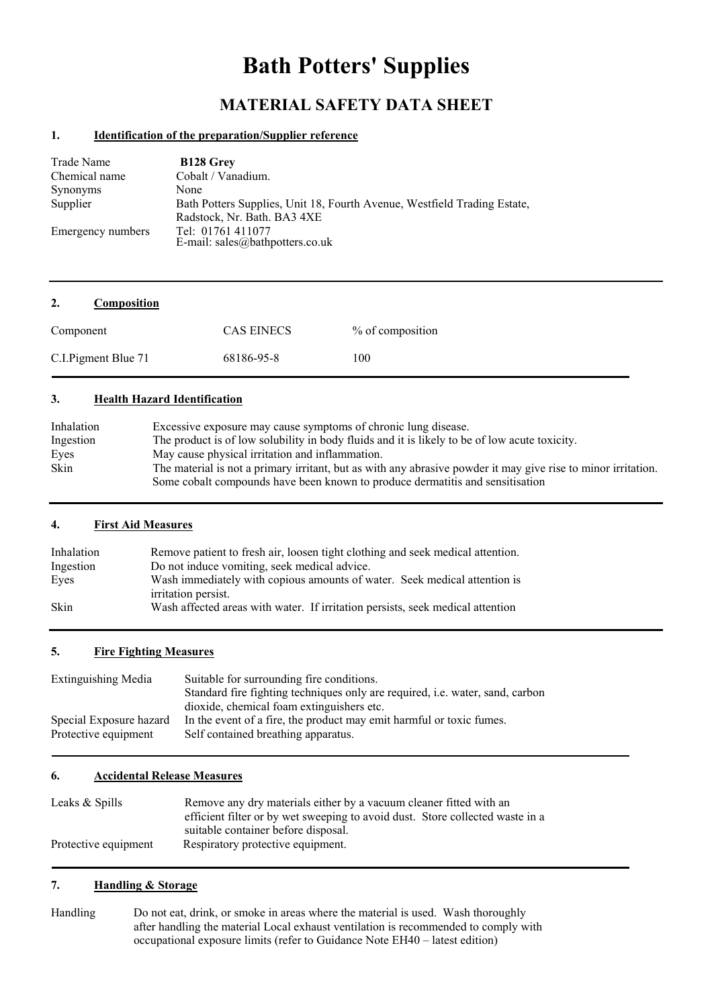# **Bath Potters' Supplies**

# **MATERIAL SAFETY DATA SHEET**

#### **1. Identification of the preparation/Supplier reference**

| Trade Name        | <b>B128 Grey</b>                                                                    |
|-------------------|-------------------------------------------------------------------------------------|
| Chemical name     | Cobalt / Vanadium.                                                                  |
| Synonyms          | None                                                                                |
| Supplier          | Bath Potters Supplies, Unit 18, Fourth Avenue, Westfield Trading Estate,            |
| Emergency numbers | Radstock, Nr. Bath. BA3 4XE<br>Tel: 01761 411077<br>E-mail: sales@bathpotters.co.uk |

| 2.<br>Composition    |                   |                  |
|----------------------|-------------------|------------------|
| Component            | <b>CAS EINECS</b> | % of composition |
| C.I. Pigment Blue 71 | 68186-95-8        | 100              |

#### **3. Health Hazard Identification**

| Inhalation | Excessive exposure may cause symptoms of chronic lung disease.                                                |
|------------|---------------------------------------------------------------------------------------------------------------|
| Ingestion  | The product is of low solubility in body fluids and it is likely to be of low acute toxicity.                 |
| Eyes       | May cause physical irritation and inflammation.                                                               |
| Skin       | The material is not a primary irritant, but as with any abrasive powder it may give rise to minor irritation. |
|            | Some cobalt compounds have been known to produce dermatitis and sensitisation                                 |

#### **4. First Aid Measures**

| Inhalation | Remove patient to fresh air, loosen tight clothing and seek medical attention. |
|------------|--------------------------------------------------------------------------------|
| Ingestion  | Do not induce vomiting, seek medical advice.                                   |
| Eyes       | Wash immediately with copious amounts of water. Seek medical attention is      |
|            | irritation persist.                                                            |
| Skin       | Wash affected areas with water. If irritation persists, seek medical attention |

#### **5. Fire Fighting Measures**

| <b>Extinguishing Media</b> | Suitable for surrounding fire conditions.                                            |  |  |
|----------------------------|--------------------------------------------------------------------------------------|--|--|
|                            | Standard fire fighting techniques only are required, <i>i.e.</i> water, sand, carbon |  |  |
|                            | dioxide, chemical foam extinguishers etc.                                            |  |  |
| Special Exposure hazard    | In the event of a fire, the product may emit harmful or toxic fumes.                 |  |  |
| Protective equipment       | Self contained breathing apparatus.                                                  |  |  |

#### **6. Accidental Release Measures**

| Leaks & Spills       | Remove any dry materials either by a vacuum cleaner fitted with an            |  |  |
|----------------------|-------------------------------------------------------------------------------|--|--|
|                      | efficient filter or by wet sweeping to avoid dust. Store collected waste in a |  |  |
|                      | suitable container before disposal.                                           |  |  |
| Protective equipment | Respiratory protective equipment.                                             |  |  |

# **7. Handling & Storage**

Handling Do not eat, drink, or smoke in areas where the material is used. Wash thoroughly after handling the material Local exhaust ventilation is recommended to comply with occupational exposure limits (refer to Guidance Note EH40 – latest edition)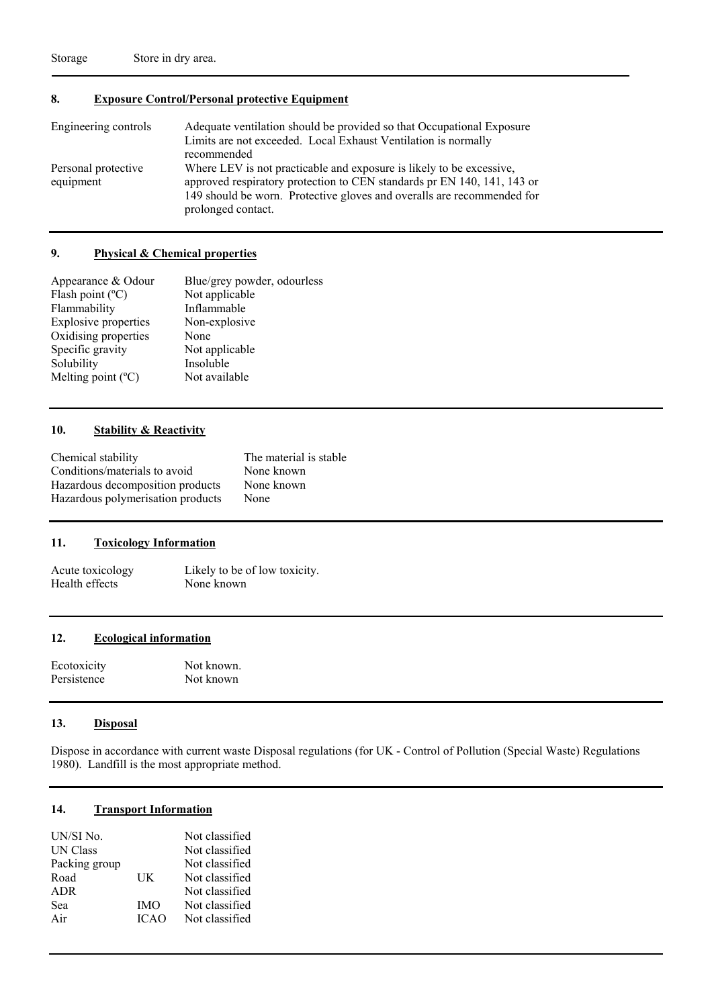# **8. Exposure Control/Personal protective Equipment**

| Engineering controls             | Adequate ventilation should be provided so that Occupational Exposure<br>Limits are not exceeded. Local Exhaust Ventilation is normally<br>recommended                                                                                          |
|----------------------------------|-------------------------------------------------------------------------------------------------------------------------------------------------------------------------------------------------------------------------------------------------|
| Personal protective<br>equipment | Where LEV is not practicable and exposure is likely to be excessive,<br>approved respiratory protection to CEN standards pr EN 140, 141, 143 or<br>149 should be worn. Protective gloves and overalls are recommended for<br>prolonged contact. |

#### **9. Physical & Chemical properties**

| Appearance & Odour          | Blue/grey powder, odourless |
|-----------------------------|-----------------------------|
| Flash point $(^{\circ}C)$   | Not applicable              |
| Flammability                | Inflammable                 |
| <b>Explosive properties</b> | Non-explosive               |
| Oxidising properties        | None                        |
| Specific gravity            | Not applicable              |
| Solubility                  | Insoluble                   |
| Melting point $(^{\circ}C)$ | Not available               |
|                             |                             |

#### **10. Stability & Reactivity**

| Chemical stability                | The material is stable |
|-----------------------------------|------------------------|
| Conditions/materials to avoid     | None known             |
| Hazardous decomposition products  | None known             |
| Hazardous polymerisation products | None                   |

#### **11. Toxicology Information**

Acute toxicology Likely to be of low toxicity.<br>
Health effects None known Health effects

#### **12. Ecological information**

| Ecotoxicity | Not known. |
|-------------|------------|
| Persistence | Not known  |

#### **13. Disposal**

Dispose in accordance with current waste Disposal regulations (for UK - Control of Pollution (Special Waste) Regulations 1980). Landfill is the most appropriate method.

## **14. Transport Information**

| UN/SI No.       |             | Not classified |
|-----------------|-------------|----------------|
| <b>UN Class</b> |             | Not classified |
| Packing group   |             | Not classified |
| Road            | UK          | Not classified |
| <b>ADR</b>      |             | Not classified |
| Sea             | <b>IMO</b>  | Not classified |
| Air             | <b>ICAO</b> | Not classified |
|                 |             |                |